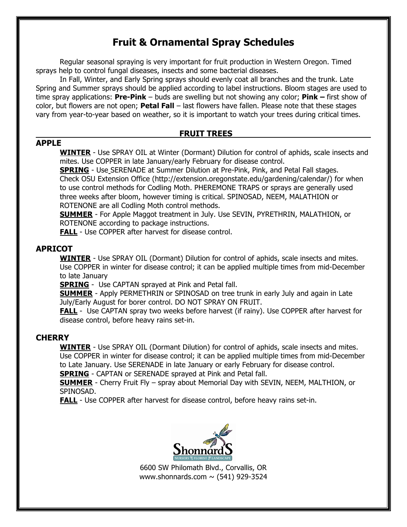# **Fruit & Ornamental Spray Schedules**

Regular seasonal spraying is very important for fruit production in Western Oregon. Timed sprays help to control fungal diseases, insects and some bacterial diseases.

In Fall, Winter, and Early Spring sprays should evenly coat all branches and the trunk. Late Spring and Summer sprays should be applied according to label instructions. Bloom stages are used to time spray applications: **Pre-Pink** – buds are swelling but not showing any color; **Pink –** first show of color, but flowers are not open; **Petal Fall** – last flowers have fallen. Please note that these stages vary from year-to-year based on weather, so it is important to watch your trees during critical times.

## **FRUIT TREES**

#### **APPLE**

**WINTER** - Use SPRAY OIL at Winter (Dormant) Dilution for control of aphids, scale insects and mites. Use COPPER in late January/early February for disease control.

**SPRING** - Use SERENADE at Summer Dilution at Pre-Pink, Pink, and Petal Fall stages. Check OSU Extension Office (http://extension.oregonstate.edu/gardening/calendar/) for when to use control methods for Codling Moth. PHEREMONE TRAPS or sprays are generally used three weeks after bloom, however timing is critical. SPINOSAD, NEEM, MALATHION or ROTENONE are all Codling Moth control methods.

**SUMMER** - For Apple Maggot treatment in July. Use SEVIN, PYRETHRIN, MALATHION, or ROTENONE according to package instructions.

**FALL** - Use COPPER after harvest for disease control.

## **APRICOT**

**WINTER** - Use SPRAY OIL (Dormant) Dilution for control of aphids, scale insects and mites. Use COPPER in winter for disease control; it can be applied multiple times from mid-December to late January

**SPRING** - Use CAPTAN sprayed at Pink and Petal fall.

**SUMMER** - Apply PERMETHRIN or SPINOSAD on tree trunk in early July and again in Late July/Early August for borer control. DO NOT SPRAY ON FRUIT.

**FALL** - Use CAPTAN spray two weeks before harvest (if rainy). Use COPPER after harvest for disease control, before heavy rains set-in.

## **CHERRY**

**WINTER** - Use SPRAY OIL (Dormant Dilution) for control of aphids, scale insects and mites. Use COPPER in winter for disease control; it can be applied multiple times from mid-December to Late January. Use SERENADE in late January or early February for disease control.

**SPRING** - CAPTAN or SERENADE sprayed at Pink and Petal fall.

**SUMMER** - Cherry Fruit Fly – spray about Memorial Day with SEVIN, NEEM, MALTHION, or SPINOSAD.

**FALL** - Use COPPER after harvest for disease control, before heavy rains set-in.



6600 SW Philomath Blvd., Corvallis, OR www.shonnards.com  $\sim$  (541) 929-3524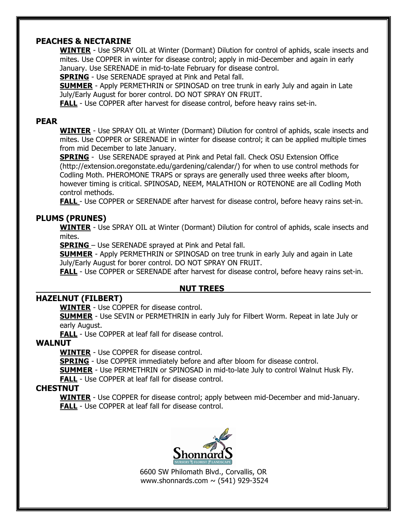## **PEACHES & NECTARINE**

**WINTER** - Use SPRAY OIL at Winter (Dormant) Dilution for control of aphids, scale insects and mites. Use COPPER in winter for disease control; apply in mid-December and again in early January. Use SERENADE in mid-to-late February for disease control.

**SPRING** - Use SERENADE sprayed at Pink and Petal fall.

**SUMMER** - Apply PERMETHRIN or SPINOSAD on tree trunk in early July and again in Late July/Early August for borer control. DO NOT SPRAY ON FRUIT.

**FALL** - Use COPPER after harvest for disease control, before heavy rains set-in.

#### **PEAR**

**WINTER** - Use SPRAY OIL at Winter (Dormant) Dilution for control of aphids, scale insects and mites. Use COPPER or SERENADE in winter for disease control; it can be applied multiple times from mid December to late January.

**SPRING** - Use SERENADE sprayed at Pink and Petal fall. Check OSU Extension Office (http://extension.oregonstate.edu/gardening/calendar/) for when to use control methods for Codling Moth. PHEROMONE TRAPS or sprays are generally used three weeks after bloom, however timing is critical. SPINOSAD, NEEM, MALATHION or ROTENONE are all Codling Moth control methods.

**FALL** - Use COPPER or SERENADE after harvest for disease control, before heavy rains set-in.

#### **PLUMS (PRUNES)**

**WINTER** - Use SPRAY OIL at Winter (Dormant) Dilution for control of aphids, scale insects and mites.

**SPRING** – Use SERENADE sprayed at Pink and Petal fall.

**SUMMER** - Apply PERMETHRIN or SPINOSAD on tree trunk in early July and again in Late July/Early August for borer control. DO NOT SPRAY ON FRUIT.

**FALL** - Use COPPER or SERENADE after harvest for disease control, before heavy rains set-in.

#### **NUT TREES**

## **HAZELNUT (FILBERT)**

**WINTER** - Use COPPER for disease control.

**SUMMER** - Use SEVIN or PERMETHRIN in early July for Filbert Worm. Repeat in late July or early August.

**FALL** - Use COPPER at leaf fall for disease control.

#### **WALNUT**

**WINTER** - Use COPPER for disease control.

**SPRING** - Use COPPER immediately before and after bloom for disease control.

**SUMMER** - Use PERMETHRIN or SPINOSAD in mid-to-late July to control Walnut Husk Fly.

**FALL** - Use COPPER at leaf fall for disease control.

#### **CHESTNUT**

**WINTER** - Use COPPER for disease control; apply between mid-December and mid-January. **FALL** - Use COPPER at leaf fall for disease control.



6600 SW Philomath Blvd., Corvallis, OR www.shonnards.com  $\sim$  (541) 929-3524